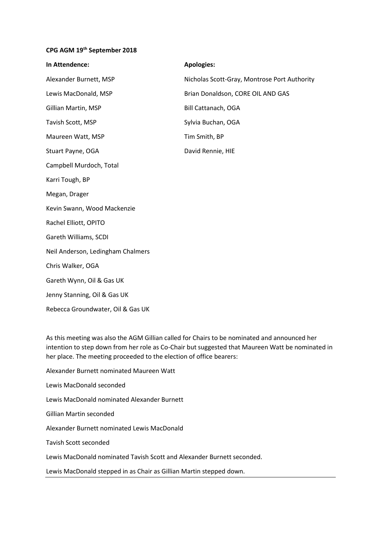## **CPG AGM 19th September 2018**

| In Attendence:                    | <b>Apologies:</b>                            |
|-----------------------------------|----------------------------------------------|
| Alexander Burnett, MSP            | Nicholas Scott-Gray, Montrose Port Authority |
| Lewis MacDonald, MSP              | Brian Donaldson, CORE OIL AND GAS            |
| Gillian Martin, MSP               | Bill Cattanach, OGA                          |
| Tavish Scott, MSP                 | Sylvia Buchan, OGA                           |
| Maureen Watt, MSP                 | Tim Smith, BP                                |
| Stuart Payne, OGA                 | David Rennie, HIE                            |
| Campbell Murdoch, Total           |                                              |
| Karri Tough, BP                   |                                              |
| Megan, Drager                     |                                              |
| Kevin Swann, Wood Mackenzie       |                                              |
| Rachel Elliott, OPITO             |                                              |
| Gareth Williams, SCDI             |                                              |
| Neil Anderson, Ledingham Chalmers |                                              |
| Chris Walker, OGA                 |                                              |
| Gareth Wynn, Oil & Gas UK         |                                              |
| Jenny Stanning, Oil & Gas UK      |                                              |
| Rebecca Groundwater, Oil & Gas UK |                                              |
|                                   |                                              |

As this meeting was also the AGM Gillian called for Chairs to be nominated and announced her intention to step down from her role as Co-Chair but suggested that Maureen Watt be nominated in her place. The meeting proceeded to the election of office bearers:

Alexander Burnett nominated Maureen Watt Lewis MacDonald seconded Lewis MacDonald nominated Alexander Burnett Gillian Martin seconded Alexander Burnett nominated Lewis MacDonald Tavish Scott seconded Lewis MacDonald nominated Tavish Scott and Alexander Burnett seconded. Lewis MacDonald stepped in as Chair as Gillian Martin stepped down.